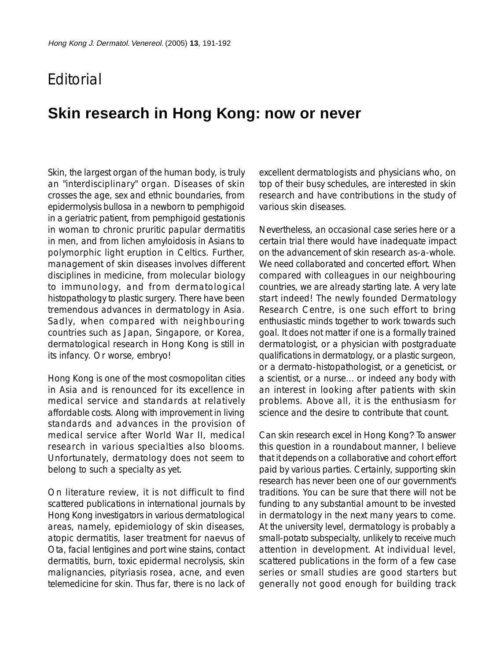## **F**ditorial

## **Skin research in Hong Kong: now or never**

Skin, the largest organ of the human body, is truly an "interdisciplinary" organ. Diseases of skin crosses the age, sex and ethnic boundaries, from epidermolysis bullosa in a newborn to pemphigoid in a geriatric patient, from pemphigoid gestationis in woman to chronic pruritic papular dermatitis in men, and from lichen amyloidosis in Asians to polymorphic light eruption in Celtics. Further, management of skin diseases involves different disciplines in medicine, from molecular biology to immunology, and from dermatological histopathology to plastic surgery. There have been tremendous advances in dermatology in Asia. Sadly, when compared with neighbouring countries such as Japan, Singapore, or Korea, dermatological research in Hong Kong is still in its infancy. Or worse, embryo!

Hong Kong is one of the most cosmopolitan cities in Asia and is renounced for its excellence in medical service and standards at relatively affordable costs. Along with improvement in living standards and advances in the provision of medical service after World War II, medical research in various specialties also blooms. Unfortunately, dermatology does not seem to belong to such a specialty as yet.

On literature review, it is not difficult to find scattered publications in international journals by Hong Kong investigators in various dermatological areas, namely, epidemiology of skin diseases, atopic dermatitis, laser treatment for naevus of Ota, facial lentigines and port wine stains, contact dermatitis, burn, toxic epidermal necrolysis, skin malignancies, pityriasis rosea, acne, and even telemedicine for skin. Thus far, there is no lack of excellent dermatologists and physicians who, on top of their busy schedules, are interested in skin research and have contributions in the study of various skin diseases.

Nevertheless, an occasional case series here or a certain trial there would have inadequate impact on the advancement of skin research as-a-whole. We need collaborated and concerted effort. When compared with colleagues in our neighbouring countries, we are already starting late. A very late start indeed! The newly founded Dermatology Research Centre, is one such effort to bring enthusiastic minds together to work towards such goal. It does not matter if one is a formally trained dermatologist, or a physician with postgraduate qualifications in dermatology, or a plastic surgeon, or a dermato-histopathologist, or a geneticist, or a scientist, or a nurse... or indeed any body with an interest in looking after patients with skin problems. Above all, it is the enthusiasm for science and the desire to contribute that count.

Can skin research excel in Hong Kong? To answer this question in a roundabout manner, I believe that it depends on a collaborative and cohort effort paid by various parties. Certainly, supporting skin research has never been one of our government's traditions. You can be sure that there will not be funding to any substantial amount to be invested in dermatology in the next many years to come. At the university level, dermatology is probably a small-potato subspecialty, unlikely to receive much attention in development. At individual level, scattered publications in the form of a few case series or small studies are good starters but generally not good enough for building track